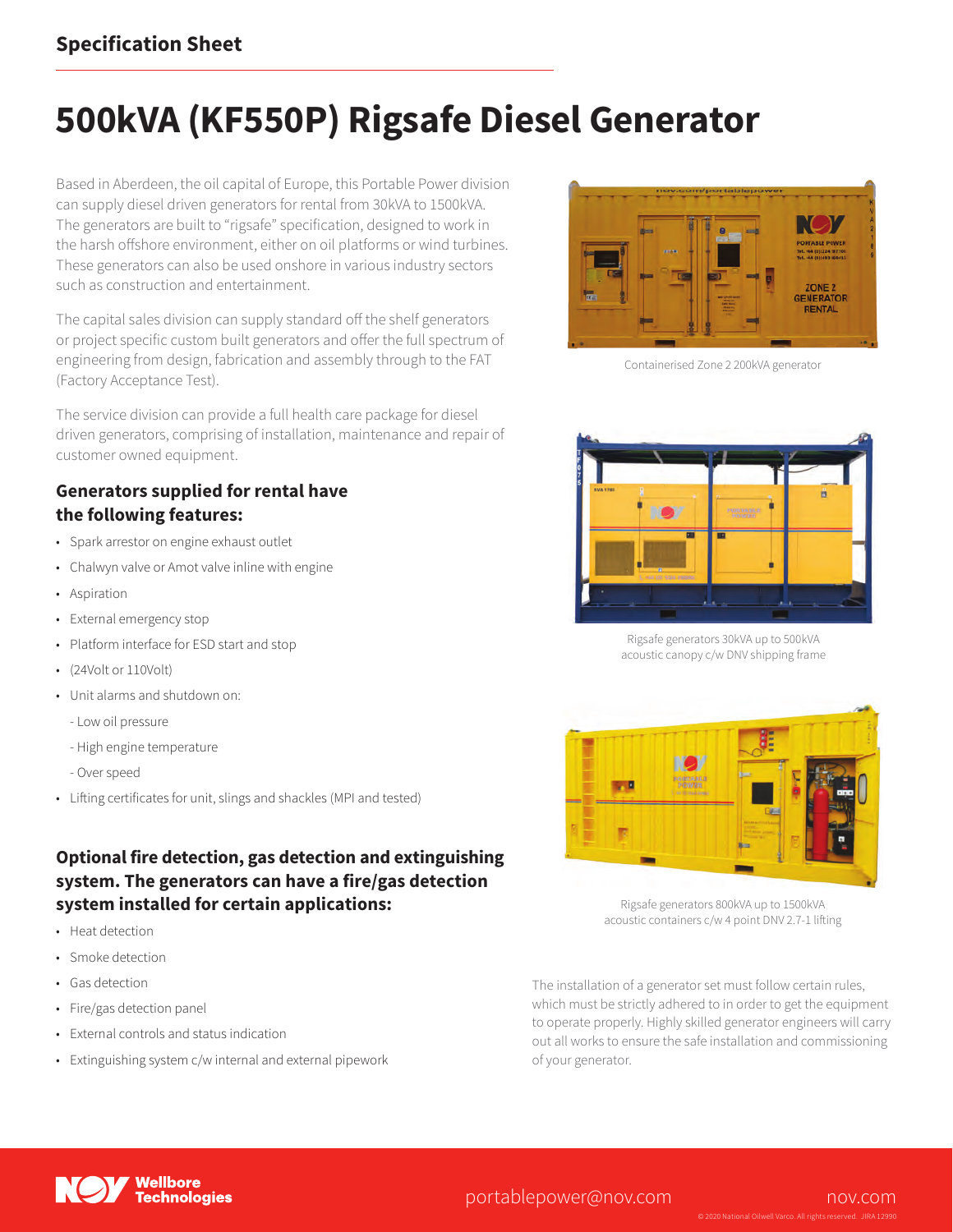### **Specification Sheet**

# **500kVA (KF550P) Rigsafe Diesel Generator**

Based in Aberdeen, the oil capital of Europe, this Portable Power division can supply diesel driven generators for rental from 30kVA to 1500kVA. The generators are built to "rigsafe" specification, designed to work in the harsh offshore environment, either on oil platforms or wind turbines. These generators can also be used onshore in various industry sectors such as construction and entertainment.

The capital sales division can supply standard off the shelf generators or project specific custom built generators and offer the full spectrum of engineering from design, fabrication and assembly through to the FAT (Factory Acceptance Test).

The service division can provide a full health care package for diesel driven generators, comprising of installation, maintenance and repair of customer owned equipment.

#### **Generators supplied for rental have the following features:**

- Spark arrestor on engine exhaust outlet
- Chalwyn valve or Amot valve inline with engine
- Aspiration
- External emergency stop
- Platform interface for ESD start and stop
- (24Volt or 110Volt)
- Unit alarms and shutdown on:
	- Low oil pressure
	- High engine temperature
	- Over speed
- Lifting certificates for unit, slings and shackles (MPI and tested)

#### **Optional fire detection, gas detection and extinguishing system. The generators can have a fire/gas detection system installed for certain applications:**

- Heat detection
- Smoke detection
- Gas detection
- Fire/gas detection panel
- External controls and status indication
- Extinguishing system c/w internal and external pipework



Containerised Zone 2 200kVA generator



Rigsafe generators 30kVA up to 500kVA acoustic canopy c/w DNV shipping frame



Rigsafe generators 800kVA up to 1500kVA acoustic containers c/w 4 point DNV 2.7-1 lifting

The installation of a generator set must follow certain rules, which must be strictly adhered to in order to get the equipment to operate properly. Highly skilled generator engineers will carry out all works to ensure the safe installation and commissioning of your generator.